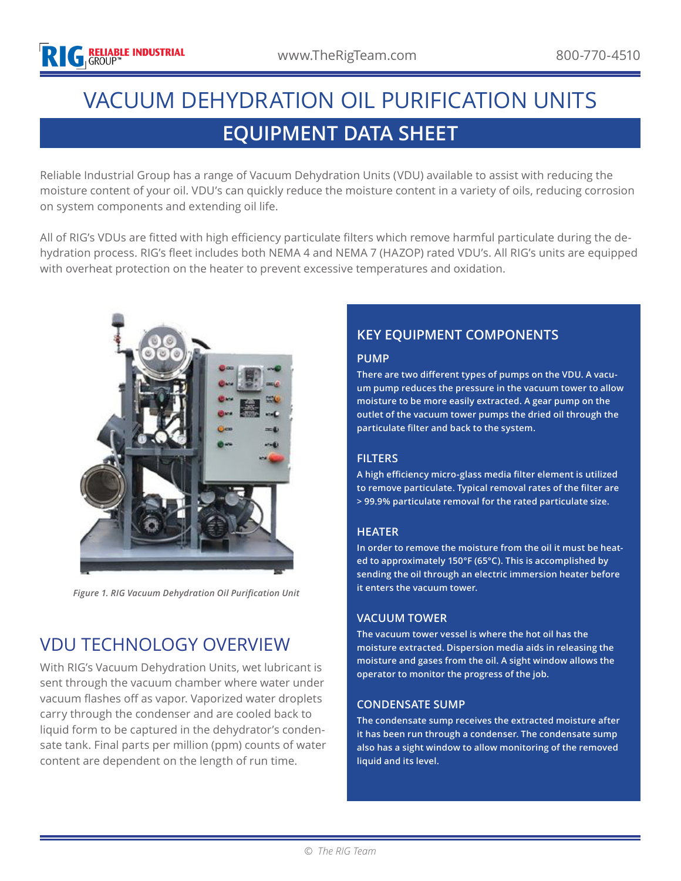# **EQUIPMENT DATA SHEET** VACUUM DEHYDRATION OIL PURIFICATION UNITS

Reliable Industrial Group has a range of Vacuum Dehydration Units (VDU) available to assist with reducing the moisture content of your oil. VDU's can quickly reduce the moisture content in a variety of oils, reducing corrosion on system components and extending oil life.

All of RIG's VDUs are fitted with high efficiency particulate filters which remove harmful particulate during the dehydration process. RIG's fleet includes both NEMA 4 and NEMA 7 (HAZOP) rated VDU's. All RIG's units are equipped with overheat protection on the heater to prevent excessive temperatures and oxidation.



*Figure 1. RIG Vacuum Dehydration Oil Purification Unit*

## VDU TECHNOLOGY OVERVIEW

With RIG's Vacuum Dehydration Units, wet lubricant is sent through the vacuum chamber where water under vacuum flashes off as vapor. Vaporized water droplets carry through the condenser and are cooled back to liquid form to be captured in the dehydrator's condensate tank. Final parts per million (ppm) counts of water content are dependent on the length of run time.

### **KEY EQUIPMENT COMPONENTS**

#### **PUMP**

**There are two different types of pumps on the VDU. A vacuum pump reduces the pressure in the vacuum tower to allow moisture to be more easily extracted. A gear pump on the outlet of the vacuum tower pumps the dried oil through the particulate filter and back to the system.**

#### **FILTERS**

**A high efficiency micro-glass media filter element is utilized to remove particulate. Typical removal rates of the filter are > 99.9% particulate removal for the rated particulate size.**

#### **HEATER**

**In order to remove the moisture from the oil it must be heated to approximately 150°F (65°C). This is accomplished by sending the oil through an electric immersion heater before it enters the vacuum tower.**

#### **VACUUM TOWER**

**The vacuum tower vessel is where the hot oil has the moisture extracted. Dispersion media aids in releasing the moisture and gases from the oil. A sight window allows the operator to monitor the progress of the job.**

#### **CONDENSATE SUMP**

**The condensate sump receives the extracted moisture after it has been run through a condenser. The condensate sump also has a sight window to allow monitoring of the removed liquid and its level.**